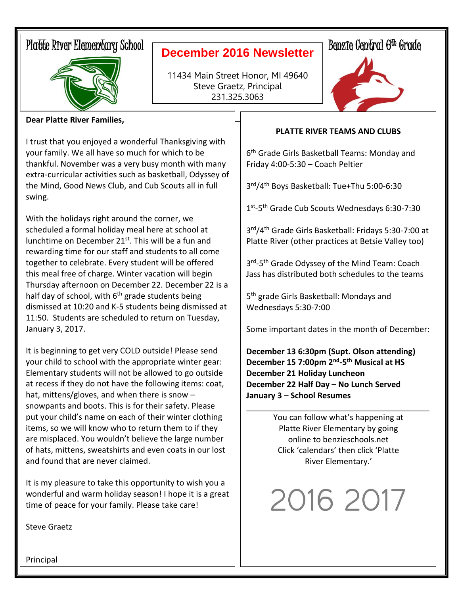# Platte River Elementary School



### **December 2016 Newsletter**

11434 Main Street Honor, MI 49640 Steve Graetz, Principal 231.325.3063

# Benzie Central 6<sup>th</sup> Grade



### **Dear Platte River Families,**

I trust that you enjoyed a wonderful Thanksgiving with your family. We all have so much for which to be thankful. November was a very busy month with many extra-curricular activities such as basketball, Odyssey of the Mind, Good News Club, and Cub Scouts all in full swing.

With the holidays right around the corner, we scheduled a formal holiday meal here at school at lunchtime on December  $21^{st}$ . This will be a fun and rewarding time for our staff and students to all come together to celebrate. Every student will be offered this meal free of charge. Winter vacation will begin Thursday afternoon on December 22. December 22 is a half day of school, with  $6<sup>th</sup>$  grade students being dismissed at 10:20 and K-5 students being dismissed at 11:50. Students are scheduled to return on Tuesday, January 3, 2017.

It is beginning to get very COLD outside! Please send your child to school with the appropriate winter gear: Elementary students will not be allowed to go outside at recess if they do not have the following items: coat, hat, mittens/gloves, and when there is snow – snowpants and boots. This is for their safety. Please put your child's name on each of their winter clothing items, so we will know who to return them to if they are misplaced. You wouldn't believe the large number of hats, mittens, sweatshirts and even coats in our lost and found that are never claimed.

It is my pleasure to take this opportunity to wish you a wonderful and warm holiday season! I hope it is a great time of peace for your family. Please take care!

#### **PLATTE RIVER TEAMS AND CLUBS**

6 th Grade Girls Basketball Teams: Monday and Friday 4:00-5:30 – Coach Peltier

3 rd/4th Boys Basketball: Tue+Thu 5:00-6:30

1st-5<sup>th</sup> Grade Cub Scouts Wednesdays 6:30-7:30

3 rd/4th Grade Girls Basketball: Fridays 5:30-7:00 at Platte River (other practices at Betsie Valley too)

3<sup>rd</sup>-5<sup>th</sup> Grade Odyssey of the Mind Team: Coach Jass has distributed both schedules to the teams

5 th grade Girls Basketball: Mondays and Wednesdays 5:30-7:00

Some important dates in the month of December:

**December 13 6:30pm (Supt. Olson attending) December 15 7:00pm 2nd -5 th Musical at HS December 21 Holiday Luncheon December 22 Half Day – No Lunch Served January 3 – School Resumes**

> You can follow what's happening at Platte River Elementary by going online to benzieschools.net Click 'calendars' then click 'Platte River Elementary.'

2016 2017

Steve Graetz

**Principal**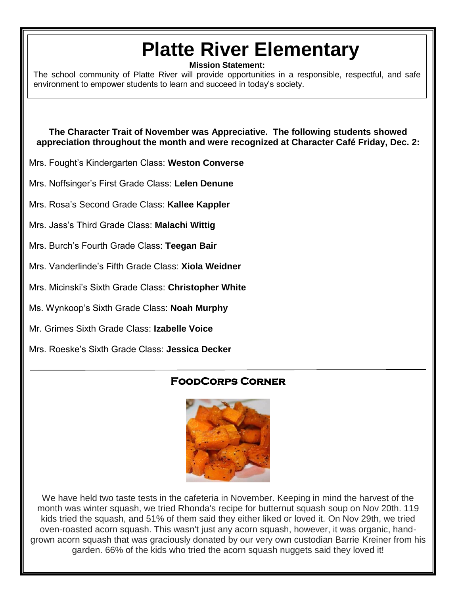# **Platte River Elementary**

**Mission Statement:**

The school community of Platte River will provide opportunities in a responsible, respectful, and safe environment to empower students to learn and succeed in today's society.

**The Character Trait of November was Appreciative. The following students showed appreciation throughout the month and were recognized at Character Café Friday, Dec. 2:**

Mrs. Fought's Kindergarten Class: **Weston Converse**

Mrs. Noffsinger's First Grade Class: **Lelen Denune**

Mrs. Rosa's Second Grade Class: **Kallee Kappler**

Mrs. Jass's Third Grade Class: **Malachi Wittig**

Mrs. Burch's Fourth Grade Class: **Teegan Bair**

Mrs. Vanderlinde's Fifth Grade Class: **Xiola Weidner**

Mrs. Micinski's Sixth Grade Class: **Christopher White**

Ms. Wynkoop's Sixth Grade Class: **Noah Murphy**

Mr. Grimes Sixth Grade Class: **Izabelle Voice**

Mrs. Roeske's Sixth Grade Class: **Jessica Decker**

### **FoodCorps Corner**



We have held two taste tests in the cafeteria in November. Keeping in mind the harvest of the month was winter squash, we tried Rhonda's recipe for butternut squash soup on Nov 20th. 119 kids tried the squash, and 51% of them said they either liked or loved it. On Nov 29th, we tried oven-roasted acorn squash. This wasn't just any acorn squash, however, it was organic, handgrown acorn squash that was graciously donated by our very own custodian Barrie Kreiner from his garden. 66% of the kids who tried the acorn squash nuggets said they loved it!